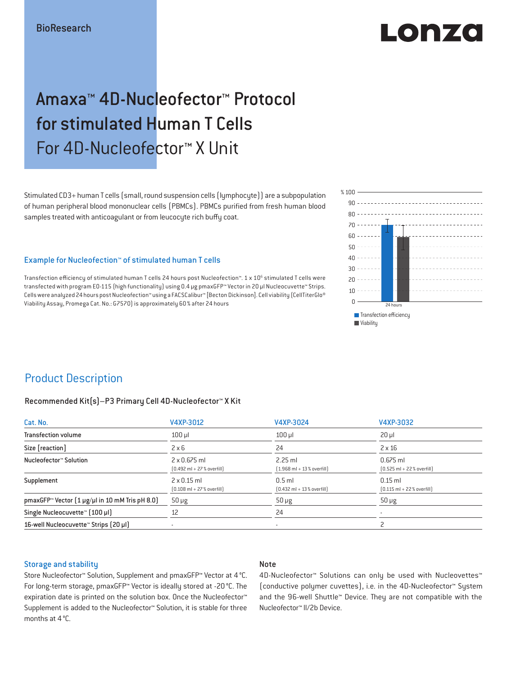# LONZO

## Amaxa™ 4D-Nucleofector™ Protocol for stimulated Human T Cells For 4D-Nucleofector™ X Unit

Stimulated CD3+ human T cells (small, round suspension cells (lymphocyte)) are a subpopulation of human peripheral blood mononuclear cells (PBMCs). PBMCs purified from fresh human blood samples treated with anticoagulant or from leucocyte rich buffy coat.

#### Example for Nucleofection™ of stimulated human T cells

Transfection efficiency of stimulated human T cells 24 hours post Nucleofection™. 1 x 10<sup>6</sup> stimulated T cells were transfected with program E0-115 (high functionality) using 0.4 μg pmaxGFP™ Vector in 20 μl Nucleocuvette™ Strips. Cells were analyzed 24 hours post Nucleofection™ using a FACSCalibur™ [Becton Dickinson]. Cell viability (CellTiterGlo® Viability Assay, Promega Cat. No.: G7570) is approximately 60 % after 24 hours



## Product Description

#### Recommended Kit(s)–P3 Primary Cell 4D-Nucleofector™ X Kit

| Cat. No.                                                          | V4XP-3012                                                           | V4XP-3024                                                | V4XP-3032                                                  |  |
|-------------------------------------------------------------------|---------------------------------------------------------------------|----------------------------------------------------------|------------------------------------------------------------|--|
| <b>Transfection volume</b>                                        | $100$ $\mu$                                                         | $100$ $\mu$                                              | $20 \mu$                                                   |  |
| Size [reaction]                                                   | $2 \times 6$                                                        | 24                                                       | $2 \times 16$                                              |  |
| Nucleofector™ Solution                                            | $2 \times 0.675$ ml<br>$[0.492 \text{ ml} + 27 \text{ %} overfill]$ | $2.25$ ml<br>$(1.968 \text{ ml} + 13 % \text{overfill})$ | $0.675$ ml<br>$[0.525 \text{ ml} + 22 \text{ % overfill}]$ |  |
| Supplement                                                        | $2 \times 0.15$ ml<br>$[0.108 \text{ ml} + 27 \text{ %} overfill]$  | $0.5$ ml<br>$[0.432 \text{ ml} + 13 \text{ %} overfill]$ | $0.15$ ml<br>$[0.115 \text{ ml} + 22 \text{ % overfill}]$  |  |
| pmaxGFP <sup>*</sup> Vector $(1 \mu g/\mu)$ in 10 mM Tris pH 8.0) | $50 \mu g$                                                          | $50 \mu g$                                               | $50 \mu g$                                                 |  |
| Single Nucleocuvette™ (100 µl)                                    | 12                                                                  | 24                                                       |                                                            |  |
| 16-well Nucleocuvette <sup>™</sup> Strips [20 µl]                 | $\overline{\phantom{a}}$                                            | $\sim$                                                   |                                                            |  |

#### Storage and stability

#### Note

Store Nucleofector™ Solution, Supplement and pmaxGFP™ Vector at 4 °C. For long-term storage, pmaxGFP™ Vector is ideally stored at -20 °C. The expiration date is printed on the solution box. Once the Nucleofector™ Supplement is added to the Nucleofector™ Solution, it is stable for three months at 4 °C.

4D-Nucleofector™ Solutions can only be used with Nucleovettes™ (conductive polymer cuvettes), i.e. in the 4D-Nucleofector™ System and the 96-well Shuttle™ Device. They are not compatible with the Nucleofector™ II/2b Device.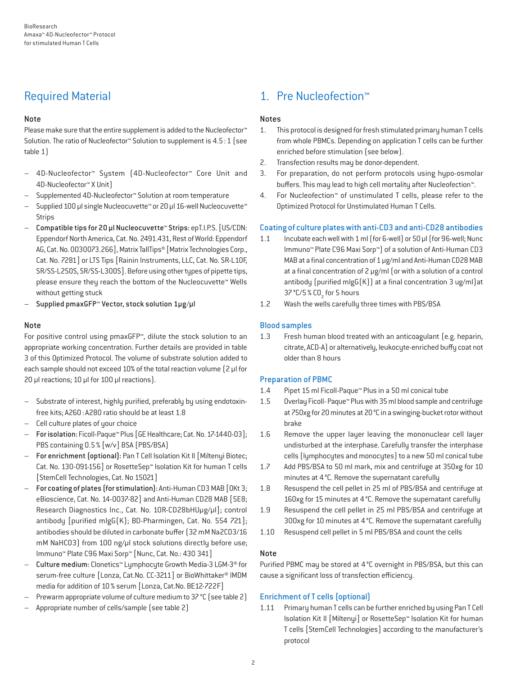## Required Material

#### Note

Please make sure that the entire supplement is added to the Nucleofector<sup>™</sup> Solution. The ratio of Nucleofector™ Solution to supplement is 4.5:1 (see table 1)

- 4D-Nucleofector™ System (4D-Nucleofector™ Core Unit and 4D-Nucleofector™ X Unit)
- Supplemented 4D-Nucleofector™ Solution at room temperature
- Supplied 100 µl single Nucleocuvette™ or 20 µl 16-well Nucleocuvette™ Strips
- Compatible tips for 20 µl Nucleocuvette™ Strips: epT.I.P.S. [US/CDN: Eppendorf North America, Cat. No. 2491.431, Rest of World: Eppendorf AG, Cat. No. 0030073.266], Matrix TallTips® [Matrix Technologies Corp., Cat. No. 7281] or LTS Tips [Rainin Instruments, LLC, Cat. No. SR-L10F, SR/SS-L250S, SR/SS-L300S]. Before using other types of pipette tips, please ensure they reach the bottom of the Nucleocuvette™ Wells without getting stuck
- Supplied pmaxGFP™ Vector, stock solution 1µg/µl

#### Note

For positive control using pmaxGFP™, dilute the stock solution to an appropriate working concentration. Further details are provided in table 3 of this Optimized Protocol. The volume of substrate solution added to each sample should not exceed 10% of the total reaction volume [2 µl for 20 µl reactions; 10 µl for 100 µl reactions).

- Substrate of interest, highly purified, preferably by using endotoxinfree kits; A260: A280 ratio should be at least 1.8
- Cell culture plates of your choice
- For isolation: Ficoll-Paque™ Plus [GE Healthcare; Cat. No. 17-1440-03]; PBS containing 0.5% [w/v] BSA (PBS/BSA)
- For enrichment (optional): Pan T Cell Isolation Kit II [Miltenyi Biotec; Cat. No. 130-091-156] or RosetteSep™ Isolation Kit for human T cells [StemCell Technologies, Cat. No 15021]
- For coating of plates (for stimulation): Anti-Human CD3 MAB [OKt 3; eBioscience, Cat. No. 14-0037-82] and Anti-Human CD28 MAB [5E8; Research Diagnostics Inc., Cat. No. 10R-CD28bHUμg/μl]; control antibody [purified mIgG(K); BD-Pharmingen, Cat. No. 554 721]; antibodies should be diluted in carbonate buffer (32 mM Na2CO3/16 mM NaHCO3) from 100 ng/μl stock solutions directly before use; Immuno™ Plate C96 Maxi Sorp™ [Nunc, Cat. No.: 430 341]
- Culture medium: Clonetics™ Lymphocyte Growth Media-3 LGM-3® for serum-free culture [Lonza, Cat.No. CC-3211] or BioWhittaker® IMDM media for addition of 10% serum [Lonza, Cat.No. BE12-722F]
- Prewarm appropriate volume of culture medium to 37 °C (see table 2)
- Appropriate number of cells/sample (see table 2)

## 1. Pre Nucleofection™

#### Notes

- 1. This protocol is designed for fresh stimulated primary human T cells from whole PBMCs. Depending on application T cells can be further enriched before stimulation (see below).
- 2. Transfection results may be donor-dependent.
- 3. For preparation, do not perform protocols using hypo-osmolar buffers. This may lead to high cell mortality after Nucleofection™.
- 4. For Nucleofection™ of unstimulated T cells, please refer to the Optimized Protocol for Unstimulated Human T Cells.

#### Coating of culture plates with anti-CD3 and anti-CD28 antibodies

- 1.1 Incubate each well with 1 ml (for 6-well) or 50 μl (for 96-well; Nunc Immuno™ Plate C96 Maxi Sorp™) of a solution of Anti-Human CD3 MAB at a final concentration of 1 μg/ml and Anti-Human CD28 MAB at a final concentration of 2 μg/ml (or with a solution of a control antibody (purified mIgG(K)) at a final concentration 3 ug/ml)at 37 °C/5 % CO<sub>2</sub> for 5 hours
- 1.2 Wash the wells carefully three times with PBS/BSA

#### Blood samples

1.3 Fresh human blood treated with an anticoagulant (e.g. heparin, citrate, ACD-A) or alternatively, leukocyte-enriched buffy coat not older than 8 hours

#### Preparation of PBMC

- 1.4 Pipet 15 ml Ficoll-Paque™ Plus in a 50 ml conical tube
- 1.5 Overlay Ficoll- Paque™ Plus with 35 ml blood sample and centrifuge at 750xg for 20 minutes at 20°C in a swinging-bucket rotor without brake
- 1.6 Remove the upper layer leaving the mononuclear cell layer undisturbed at the interphase. Carefully transfer the interphase cells (lymphocytes and monocytes) to a new 50 ml conical tube
- 1.7 Add PBS/BSA to 50 ml mark, mix and centrifuge at 350xg for 10 minutes at 4°C. Remove the supernatant carefully
- 1.8 Resuspend the cell pellet in 25 ml of PBS/BSA and centrifuge at 160xg for 15 minutes at 4°C. Remove the supernatant carefully
- 1.9 Resuspend the cell pellet in 25 ml PBS/BSA and centrifuge at 300xg for 10 minutes at 4°C. Remove the supernatant carefully
- 1.10 Resuspend cell pellet in 5 ml PBS/BSA and count the cells

#### Note

Purified PBMC may be stored at 4°C overnight in PBS/BSA, but this can cause a significant loss of transfection efficiency.

#### Enrichment of T cells (optional)

1.11 Primary human T cells can be further enriched by using Pan T Cell Isolation Kit II [Miltenyi] or RosetteSep™ Isolation Kit for human T cells [StemCell Technologies] according to the manufacturer's protocol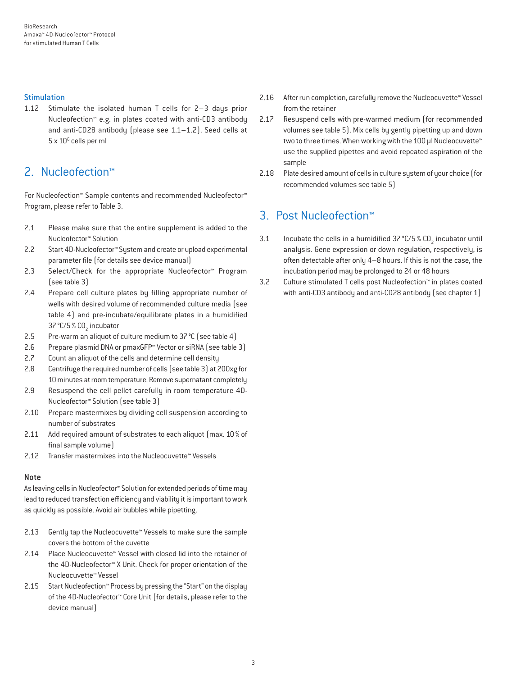#### **Stimulation**

1.12 Stimulate the isolated human T cells for 2–3 days prior Nucleofection™ e.g. in plates coated with anti-CD3 antibody and anti-CD28 antibody (please see 1.1–1.2). Seed cells at 5 x 10<sup>6</sup> cells per ml

### 2. Nucleofection™

For Nucleofection™ Sample contents and recommended Nucleofector™ Program, please refer to Table 3.

- 2.1 Please make sure that the entire supplement is added to the Nucleofector™ Solution
- 2.2 Start 4D-Nucleofector™ System and create or upload experimental parameter file (for details see device manual)
- 2.3 Select/Check for the appropriate Nucleofector™ Program (see table 3)
- 2.4 Prepare cell culture plates by filling appropriate number of wells with desired volume of recommended culture media (see table 4) and pre-incubate/equilibrate plates in a humidified 37 °C/5 % CO<sub>2</sub> incubator
- 2.5 Pre-warm an aliquot of culture medium to 37°C (see table 4)
- 2.6 Prepare plasmid DNA or pmaxGFP™ Vector or siRNA (see table 3)
- 2.7 Count an aliquot of the cells and determine cell density
- 2.8 Centrifuge the required number of cells (see table 3) at 200xg for 10 minutes at room temperature. Remove supernatant completely
- 2.9 Resuspend the cell pellet carefully in room temperature 4D-Nucleofector™ Solution (see table 3)
- 2.10 Prepare mastermixes by dividing cell suspension according to number of substrates
- 2.11 Add required amount of substrates to each aliquot (max. 10 % of final sample volume)
- 2.12 Transfer mastermixes into the Nucleocuvette™ Vessels

#### Note

As leaving cells in Nucleofector™ Solution for extended periods of time may lead to reduced transfection efficiency and viability it is important to work as quickly as possible. Avoid air bubbles while pipetting.

- 2.13 Gently tap the Nucleocuvette™ Vessels to make sure the sample covers the bottom of the cuvette
- 2.14 Place Nucleocuvette™ Vessel with closed lid into the retainer of the 4D-Nucleofector™ X Unit. Check for proper orientation of the Nucleocuvette™ Vessel
- 2.15 Start Nucleofection™ Process by pressing the "Start" on the display of the 4D-Nucleofector™ Core Unit (for details, please refer to the device manual)
- 2.16 After run completion, carefully remove the Nucleocuvette™ Vessel from the retainer
- 2.17 Resuspend cells with pre-warmed medium (for recommended volumes see table 5). Mix cells by gently pipetting up and down two to three times. When working with the 100 µl Nucleocuvette™ use the supplied pipettes and avoid repeated aspiration of the sample
- 2.18 Plate desired amount of cells in culture system of your choice (for recommended volumes see table 5)

## 3. Post Nucleofection™

- 3.1 Incubate the cells in a humidified  $37^{\circ}$ C/5 % CO<sub>2</sub> incubator until analysis. Gene expression or down regulation, respectively, is often detectable after only 4–8 hours. If this is not the case, the incubation period may be prolonged to 24 or 48 hours
- 3.2 Culture stimulated T cells post Nucleofection™ in plates coated with anti-CD3 antibody and anti-CD28 antibody (see chapter 1)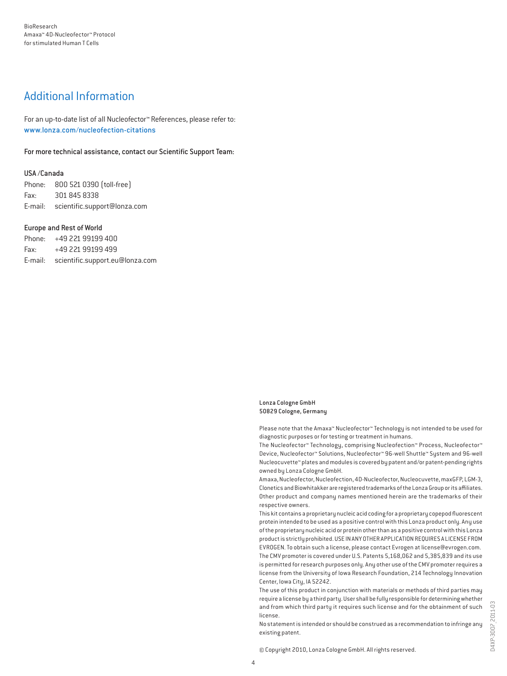## Additional Information

For an up-to-date list of all Nucleofector™ References, please refer to: www.lonza.com/nucleofection-citations

For more technical assistance, contact our Scientific Support Team:

#### USA /Canada

Phone: 800 521 0390 (toll-free) Fax: 301 845 8338 E-mail: scientific.support@lonza.com

#### Europe and Rest of World

Phone: +49 221 99199 400 Fax: +49 221 99199 499 E-mail: scientific.support.eu@lonza.com

#### Lonza Cologne GmbH 50829 Cologne, Germany

Please note that the Amaxa™ Nucleofector™ Technology is not intended to be used for diagnostic purposes or for testing or treatment in humans.

The Nucleofector™ Technology, comprising Nucleofection™ Process, Nucleofector™ Device, Nucleofector™ Solutions, Nucleofector™ 96-well Shuttle™ System and 96-well Nucleocuvette™ plates and modules is covered by patent and/or patent-pending rights owned by Lonza Cologne GmbH.

Amaxa, Nucleofector, Nucleofection, 4D-Nucleofector, Nucleocuvette, maxGFP, LGM-3, Clonetics and Biowhitakker are registered trademarks of the Lonza Group or its affiliates. Other product and company names mentioned herein are the trademarks of their respective owners.

This kit contains a proprietary nucleic acid coding for a proprietary copepod fluorescent protein intended to be used as a positive control with this Lonza product only. Any use of the proprietary nucleic acid or protein other than as a positive control with this Lonza product is strictly prohibited. USE IN ANY OTHER APPLICATION REQUIRES A LICENSE FROM EVROGEN. To obtain such a license, please contact Evrogen at license@evrogen.com. The CMV promoter is covered under U.S. Patents 5,168,062 and 5,385,839 and its use is permitted for research purposes only. Any other use of the CMV promoter requires a license from the University of Iowa Research Foundation, 214 Technology Innovation Center, Iowa City, IA 52242.

The use of this product in conjunction with materials or methods of third parties may require a license by a third party. User shall be fully responsible for determining whether and from which third party it requires such license and for the obtainment of such license.

No statement is intended or should be construed as a recommendation to infringe any existing patent.

© Copyright 2010, Lonza Cologne GmbH. All rights reserved.